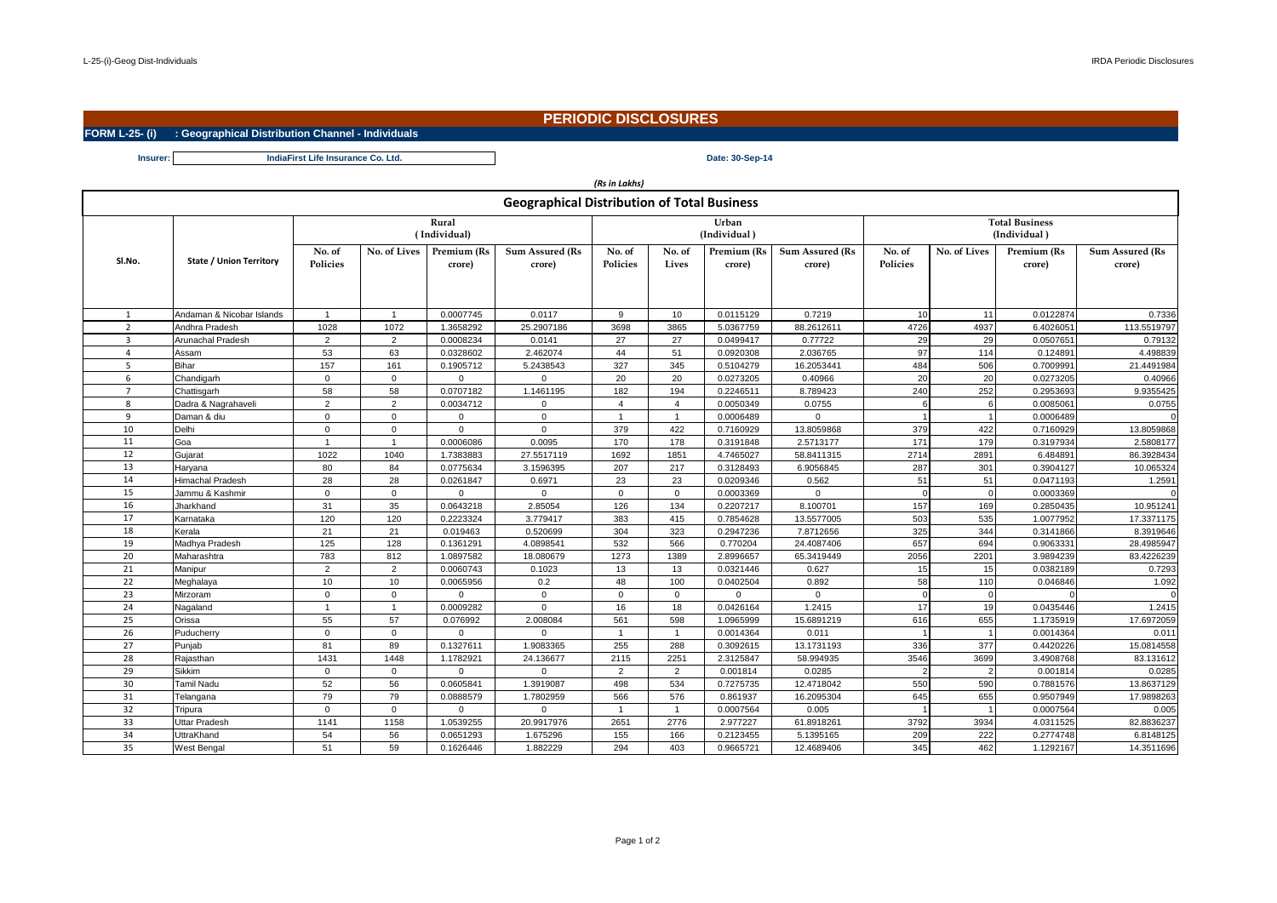## **PERIODIC DISCLOSURES**

**FORM L-25- (i) : Geographical Distribution Channel - Individuals**

**Insurer: Date: 30-Sep-14 IndiaFirst Life Insurance Co. Ltd.**

| (Rs in Lakhs)                                      |                                |                       |                     |                       |                           |                           |                 |                       |                                  |                                       |                 |                       |                                  |  |
|----------------------------------------------------|--------------------------------|-----------------------|---------------------|-----------------------|---------------------------|---------------------------|-----------------|-----------------------|----------------------------------|---------------------------------------|-----------------|-----------------------|----------------------------------|--|
| <b>Geographical Distribution of Total Business</b> |                                |                       |                     |                       |                           |                           |                 |                       |                                  |                                       |                 |                       |                                  |  |
|                                                    |                                | Rural<br>(Individual) |                     |                       |                           |                           |                 | Urban<br>(Individual) |                                  | <b>Total Business</b><br>(Individual) |                 |                       |                                  |  |
| SI.No.                                             | <b>State / Union Territory</b> | No. of<br>Policies    | <b>No. of Lives</b> | Premium (Rs<br>crore) | Sum Assured (Rs<br>crore) | No. of<br><b>Policies</b> | No. of<br>Lives | Premium (Rs<br>crore) | <b>Sum Assured (Rs</b><br>crore) | No. of<br>Policies                    | No. of Lives    | Premium (Rs<br>crore) | <b>Sum Assured (Rs</b><br>crore) |  |
| $\mathbf{1}$                                       | Andaman & Nicobar Islands      | $\mathbf{1}$          | $\overline{1}$      | 0.0007745             | 0.0117                    | 9                         | 10              | 0.0115129             | 0.7219                           | 10                                    | 11              | 0.0122874             | 0.7336                           |  |
| $\overline{2}$                                     | Andhra Pradesh                 | 1028                  | 1072                | 1.3658292             | 25.2907186                | 3698                      | 3865            | 5.0367759             | 88.2612611                       | 4726                                  | 4937            | 6.4026051             | 113.5519797                      |  |
| $\mathbf{3}$                                       | Arunachal Pradesh              | 2                     | 2                   | 0.0008234             | 0.0141                    | 27                        | 27              | 0.0499417             | 0.77722                          | 29                                    | 29              | 0.0507651             | 0.79132                          |  |
| $\overline{a}$                                     | Assam                          | 53                    | 63                  | 0.0328602             | 2.462074                  | 44                        | 51              | 0.0920308             | 2.036765                         | 97                                    | 11 <sup>2</sup> | 0.124891              | 4.498839                         |  |
| 5                                                  | Bihar                          | 157                   | 161                 | 0.1905712             | 5.2438543                 | 327                       | 345             | 0.5104279             | 16.2053441                       | 484                                   | 506             | 0.7009991             | 21.4491984                       |  |
| 6                                                  | Chandigarh                     | $\mathbf{0}$          | $\mathbf 0$         | $\mathbf 0$           | $\mathbf 0$               | 20                        | 20              | 0.0273205             | 0.40966                          | 20                                    | 20              | 0.0273205             | 0.40966                          |  |
| $\overline{7}$                                     | Chattisgarh                    | 58                    | 58                  | 0.0707182             | 1.1461195                 | 182                       | 194             | 0.2246511             | 8.789423                         | 240                                   | 252             | 0.2953693             | 9.9355425                        |  |
| 8                                                  | Dadra & Nagrahaveli            | $\overline{2}$        | $\overline{2}$      | 0.0034712             | $\Omega$                  | $\overline{4}$            | $\overline{4}$  | 0.0050349             | 0.0755                           |                                       |                 | 0.0085061             | 0.0755                           |  |
| 9                                                  | Daman & diu                    | $\Omega$              | $\Omega$            | $\Omega$              | $\Omega$                  |                           | $\overline{1}$  | 0.0006489             | $\Omega$                         |                                       |                 | 0.0006489             |                                  |  |
| 10                                                 | Delhi                          | $\Omega$              | $\mathbf 0$         | $\Omega$              | $\Omega$                  | 379                       | 422             | 0.7160929             | 13.8059868                       | 379                                   | 422             | 0.7160929             | 13.8059868                       |  |
| 11                                                 | Goa                            | $\overline{1}$        | $\overline{1}$      | 0.0006086             | 0.0095                    | 170                       | 178             | 0.3191848             | 2.5713177                        | 171                                   | 179             | 0.3197934             | 2.5808177                        |  |
| 12                                                 | Gujarat                        | 1022                  | 1040                | 1.7383883             | 27.5517119                | 1692                      | 1851            | 4.7465027             | 58.8411315                       | 2714                                  | 2891            | 6.484891              | 86.3928434                       |  |
| 13                                                 | Haryana                        | 80                    | 84                  | 0.0775634             | 3.1596395                 | 207                       | 217             | 0.3128493             | 6.9056845                        | 287                                   | 301             | 0.3904127             | 10.065324                        |  |
| 14                                                 | Himachal Pradesh               | 28                    | 28                  | 0.0261847             | 0.6971                    | 23                        | 23              | 0.0209346             | 0.562                            | 51                                    | 51              | 0.0471193             | 1.2591                           |  |
| 15                                                 | Jammu & Kashmir                | $\Omega$              | $\mathbf 0$         | $\Omega$              | $\Omega$                  | $\Omega$                  | $\mathbf 0$     | 0.0003369             | $\mathbf 0$                      |                                       |                 | 0.0003369             |                                  |  |
| 16                                                 | Jharkhand                      | 31                    | 35                  | 0.0643218             | 2.85054                   | 126                       | 134             | 0.2207217             | 8.100701                         | 157                                   | 169             | 0.2850435             | 10.951241                        |  |
| 17                                                 | Karnataka                      | 120                   | 120                 | 0.2223324             | 3.779417                  | 383                       | 415             | 0.7854628             | 13.5577005                       | 503                                   | 535             | 1.0077952             | 17.3371175                       |  |
| 18                                                 | Kerala                         | 21                    | 21                  | 0.019463              | 0.520699                  | 304                       | 323             | 0.2947236             | 7.8712656                        | 325                                   | 344             | 0.3141866             | 8.3919646                        |  |
| 19                                                 | Madhya Pradesh                 | 125                   | 128                 | 0.1361291             | 4.0898541                 | 532                       | 566             | 0.770204              | 24.4087406                       | 657                                   | 694             | 0.9063331             | 28.4985947                       |  |
| 20                                                 | Maharashtra                    | 783                   | 812                 | 1.0897582             | 18.080679                 | 1273                      | 1389            | 2.8996657             | 65.3419449                       | 2056                                  | 2201            | 3.9894239             | 83.4226239                       |  |
| 21                                                 | Manipur                        | 2                     | 2                   | 0.0060743             | 0.1023                    | 13                        | 13              | 0.0321446             | 0.627                            | 15                                    | 15              | 0.0382189             | 0.7293                           |  |
| 22                                                 | Meghalaya                      | 10                    | 10                  | 0.0065956             | 0.2                       | 48                        | 100             | 0.0402504             | 0.892                            | 58                                    | 110             | 0.046846              | 1.092                            |  |
| 23                                                 | Mirzoram                       | $\mathbf 0$           | $\mathbf 0$         | $\Omega$              | $\Omega$                  | $\mathbf 0$               | $\mathbf 0$     | 0                     | $\mathbf{0}$                     | $\Omega$                              |                 |                       |                                  |  |
| 24                                                 | Nagaland                       | $\mathbf{1}$          | $\overline{1}$      | 0.0009282             | $\Omega$                  | 16                        | 18              | 0.0426164             | 1.2415                           | 17                                    | 19              | 0.0435446             | 1.2415                           |  |
| 25                                                 | Orissa                         | 55                    | 57                  | 0.076992              | 2.008084                  | 561                       | 598             | 1.0965999             | 15.6891219                       | 616                                   | 655             | 1.1735919             | 17.6972059                       |  |
| 26                                                 | Puducherry                     | $\mathbf 0$           | $\mathbf 0$         | $\Omega$              | $\Omega$                  |                           | $\overline{1}$  | 0.0014364             | 0.011                            |                                       |                 | 0.0014364             | 0.01                             |  |
| 27                                                 | Punjab                         | 81                    | 89                  | 0.1327611             | 1.9083365                 | 255                       | 288             | 0.3092615             | 13.1731193                       | 336                                   | 377             | 0.4420226             | 15.0814558                       |  |
| 28                                                 | Rajasthan                      | 1431                  | 1448                | 1.1782921             | 24.136677                 | 2115                      | 2251            | 2.3125847             | 58.994935                        | 3546                                  | 3699            | 3.4908768             | 83.131612                        |  |
| 29                                                 | <b>Sikkim</b>                  | $\Omega$              | $\Omega$            | $\Omega$              | $\Omega$                  | $\overline{2}$            | $\overline{2}$  | 0.001814              | 0.0285                           |                                       |                 | 0.001814              | 0.0285                           |  |
| 30                                                 | Tamil Nadu                     | 52                    | 56                  | 0.0605841             | 1.3919087                 | 498                       | 534             | 0.7275735             | 12.4718042                       | 550                                   | 590             | 0.7881576             | 13.8637129                       |  |
| 31                                                 | Telangana                      | 79                    | 79                  | 0.0888579             | 1.7802959                 | 566                       | 576             | 0.861937              | 16.2095304                       | 645                                   | 655             | 0.9507949             | 17.9898263                       |  |
| 32                                                 | Tripura                        | $\mathbf 0$           | $\mathbf 0$         | $\mathbf 0$           | $\Omega$                  | $\overline{1}$            | $\overline{1}$  | 0.0007564             | 0.005                            |                                       |                 | 0.0007564             | 0.005                            |  |
| 33                                                 | Uttar Pradesh                  | 1141                  | 1158                | 1.0539255             | 20.9917976                | 2651                      | 2776            | 2.977227              | 61.8918261                       | 3792                                  | 3934            | 4.0311525             | 82.8836237                       |  |
| 34                                                 | UttraKhand                     | 54                    | 56                  | 0.0651293             | 1.675296                  | 155                       | 166             | 0.2123455             | 5.1395165                        | 209                                   | 222             | 0.2774748             | 6.8148125                        |  |
| 35                                                 | West Bengal                    | 51                    | 59                  | 0.1626446             | 1.882229                  | 294                       | 403             | 0.9665721             | 12.4689406                       | 345                                   | 462             | 1.1292167             | 14.3511696                       |  |